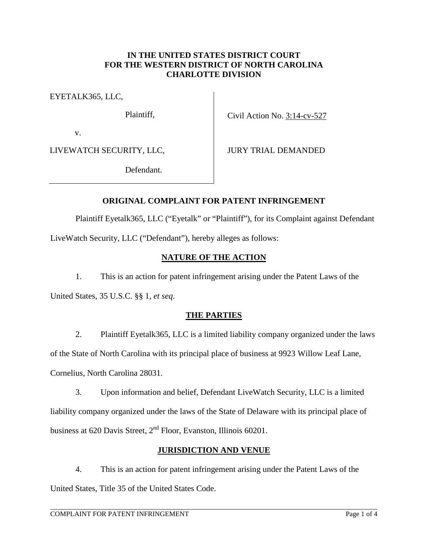#### **IN THE UNITED STATES DISTRICT COURT FOR THE WESTERN DISTRICT OF NORTH CAROLINA CHARLOTTE DIVISION**

EYETALK365, LLC,

Plaintiff,

Civil Action No. 3:14-cv-527

v.

LIVEWATCH SECURITY, LLC,

JURY TRIAL DEMANDED

Defendant.

## **ORIGINAL COMPLAINT FOR PATENT INFRINGEMENT**

Plaintiff Eyetalk365, LLC ("Eyetalk" or "Plaintiff"), for its Complaint against Defendant

LiveWatch Security, LLC ("Defendant"), hereby alleges as follows:

## **NATURE OF THE ACTION**

1. This is an action for patent infringement arising under the Patent Laws of the

United States, 35 U.S.C. §§ 1, *et seq*.

## **THE PARTIES**

2. Plaintiff Eyetalk365, LLC is a limited liability company organized under the laws of the State of North Carolina with its principal place of business at 9923 Willow Leaf Lane, Cornelius, North Carolina 28031.

3. Upon information and belief, Defendant LiveWatch Security, LLC is a limited liability company organized under the laws of the State of Delaware with its principal place of business at 620 Davis Street, 2<sup>nd</sup> Floor, Evanston, Illinois 60201.

## **JURISDICTION AND VENUE**

4. This is an action for patent infringement arising under the Patent Laws of the United States, Title 35 of the United States Code.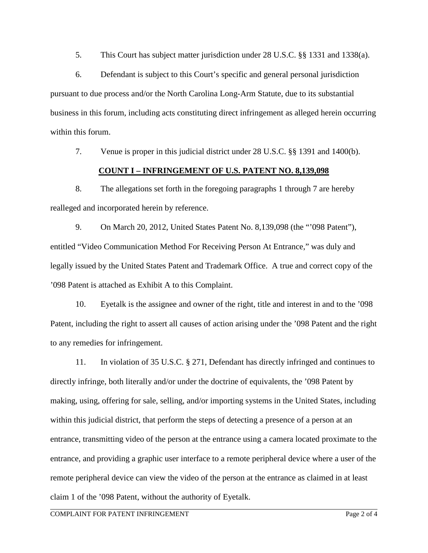5. This Court has subject matter jurisdiction under 28 U.S.C. §§ 1331 and 1338(a).

6. Defendant is subject to this Court's specific and general personal jurisdiction pursuant to due process and/or the North Carolina Long-Arm Statute, due to its substantial business in this forum, including acts constituting direct infringement as alleged herein occurring within this forum.

7. Venue is proper in this judicial district under 28 U.S.C. §§ 1391 and 1400(b).

#### **COUNT I – INFRINGEMENT OF U.S. PATENT NO. 8,139,098**

8. The allegations set forth in the foregoing paragraphs 1 through 7 are hereby realleged and incorporated herein by reference.

9. On March 20, 2012, United States Patent No. 8,139,098 (the "'098 Patent"), entitled "Video Communication Method For Receiving Person At Entrance," was duly and legally issued by the United States Patent and Trademark Office. A true and correct copy of the '098 Patent is attached as Exhibit A to this Complaint.

10. Eyetalk is the assignee and owner of the right, title and interest in and to the '098 Patent, including the right to assert all causes of action arising under the '098 Patent and the right to any remedies for infringement.

11. In violation of 35 U.S.C. § 271, Defendant has directly infringed and continues to directly infringe, both literally and/or under the doctrine of equivalents, the '098 Patent by making, using, offering for sale, selling, and/or importing systems in the United States, including within this judicial district, that perform the steps of detecting a presence of a person at an entrance, transmitting video of the person at the entrance using a camera located proximate to the entrance, and providing a graphic user interface to a remote peripheral device where a user of the remote peripheral device can view the video of the person at the entrance as claimed in at least claim 1 of the '098 Patent, without the authority of Eyetalk.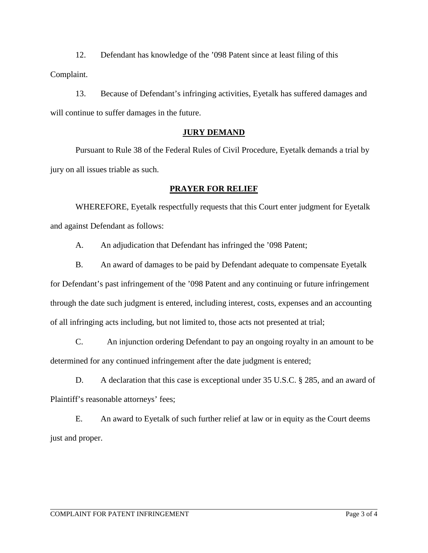12. Defendant has knowledge of the '098 Patent since at least filing of this Complaint.

13. Because of Defendant's infringing activities, Eyetalk has suffered damages and will continue to suffer damages in the future.

# **JURY DEMAND**

Pursuant to Rule 38 of the Federal Rules of Civil Procedure, Eyetalk demands a trial by jury on all issues triable as such.

## **PRAYER FOR RELIEF**

WHEREFORE, Eyetalk respectfully requests that this Court enter judgment for Eyetalk and against Defendant as follows:

A. An adjudication that Defendant has infringed the '098 Patent;

B. An award of damages to be paid by Defendant adequate to compensate Eyetalk for Defendant's past infringement of the '098 Patent and any continuing or future infringement through the date such judgment is entered, including interest, costs, expenses and an accounting of all infringing acts including, but not limited to, those acts not presented at trial;

C. An injunction ordering Defendant to pay an ongoing royalty in an amount to be determined for any continued infringement after the date judgment is entered;

D. A declaration that this case is exceptional under 35 U.S.C. § 285, and an award of Plaintiff's reasonable attorneys' fees;

E. An award to Eyetalk of such further relief at law or in equity as the Court deems just and proper.